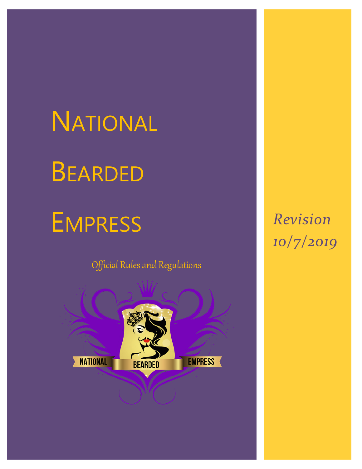# **NATIONAL** BEARDED

# EMPRESS

Official Rules and Regulations



*Revision 10/7/2019*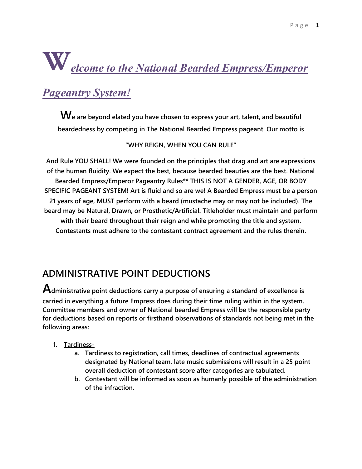# **Welcome to the National Bearded Empress/Emperor**

# **Pageantry System!**

**We are beyond elated you have chosen to express your art, talent, and beautiful beardedness by competing in The National Bearded Empress pageant. Our motto is** 

**"WHY REIGN, WHEN YOU CAN RULE"** 

**And Rule YOU SHALL! We were founded on the principles that drag and art are expressions of the human fluidity. We expect the best, because bearded beauties are the best. National Bearded Empress/Emperor Pageantry Rules\*\* THIS IS NOT A GENDER, AGE, OR BODY SPECIFIC PAGEANT SYSTEM! Art is fluid and so are we! A Bearded Empress must be a person 21 years of age, MUST perform with a beard (mustache may or may not be included). The beard may be Natural, Drawn, or Prosthetic/Artificial. Titleholder must maintain and perform with their beard throughout their reign and while promoting the title and system. Contestants must adhere to the contestant contract agreement and the rules therein.**

# **ADMINISTRATIVE POINT DEDUCTIONS**

**Administrative point deductions carry a purpose of ensuring a standard of excellence is carried in everything a future Empress does during their time ruling within in the system. Committee members and owner of National bearded Empress will be the responsible party for deductions based on reports or firsthand observations of standards not being met in the following areas:**

- **1. Tardiness**
	- **a. Tardiness to registration, call times, deadlines of contractual agreements designated by National team, late music submissions will result in a 25 point overall deduction of contestant score after categories are tabulated.**
	- **b. Contestant will be informed as soon as humanly possible of the administration of the infraction.**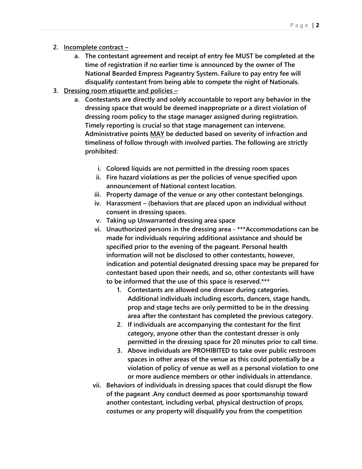- **2. Incomplete contract –**
	- **a. The contestant agreement and receipt of entry fee MUST be completed at the time of registration if no earlier time is announced by the owner of The National Bearded Empress Pageantry System. Failure to pay entry fee will disqualify contestant from being able to compete the night of Nationals.**
- **3. Dressing room etiquette and policies –**
	- **a. Contestants are directly and solely accountable to report any behavior in the dressing space that would be deemed inappropriate or a direct violation of dressing room policy to the stage manager assigned during registration. Timely reporting is crucial so that stage management can intervene. Administrative points MAY be deducted based on severity of infraction and timeliness of follow through with involved parties. The following are strictly prohibited:**
		- **i. Colored liquids are not permitted in the dressing room spaces**
		- **ii. Fire hazard violations as per the policies of venue specified upon announcement of National contest location.**
		- **iii. Property damage of the venue or any other contestant belongings.**
		- **iv. Harassment – (behaviors that are placed upon an individual without consent in dressing spaces.**
		- **v. Taking up Unwarranted dressing area space**
		- **vi. Unauthorized persons in the dressing area - \*\*\*Accommodations can be made for individuals requiring additional assistance and should be specified prior to the evening of the pageant. Personal health information will not be disclosed to other contestants, however, indication and potential designated dressing space may be prepared for contestant based upon their needs, and so, other contestants will have to be informed that the use of this space is reserved.\*\*\***
			- **1. Contestants are allowed one dresser during categories. Additional individuals including escorts, dancers, stage hands, prop and stage techs are only permitted to be in the dressing area after the contestant has completed the previous category.**
			- **2. If individuals are accompanying the contestant for the first category, anyone other than the contestant dresser is only permitted in the dressing space for 20 minutes prior to call time.**
			- **3. Above individuals are PROHIBITED to take over public restroom spaces in other areas of the venue as this could potentially be a violation of policy of venue as well as a personal violation to one or more audience members or other individuals in attendance.**
		- **vii. Behaviors of individuals in dressing spaces that could disrupt the flow of the pageant .Any conduct deemed as poor sportsmanship toward another contestant, including verbal, physical destruction of props, costumes or any property will disqualify you from the competition**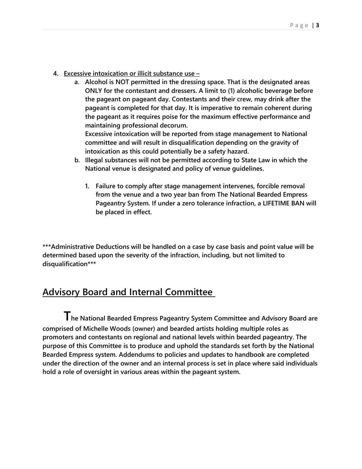- **4. Excessive intoxication or illicit substance use –**
	- **a. Alcohol is NOT permitted in the dressing space. That is the designated areas ONLY for the contestant and dressers. A limit to (1) alcoholic beverage before the pageant on pageant day. Contestants and their crew, may drink after the pageant is completed for that day. It is imperative to remain coherent during the pageant as it requires poise for the maximum effective performance and maintaining professional decorum.**

**Excessive intoxication will be reported from stage management to National committee and will result in disqualification depending on the gravity of intoxication as this could potentially be a safety hazard.** 

- **b. Illegal substances will not be permitted according to State Law in which the National venue is designated and policy of venue guidelines.** 
	- **1. Failure to comply after stage management intervenes, forcible removal from the venue and a two year ban from The National Bearded Empress Pageantry System. If under a zero tolerance infraction, a LIFETIME BAN will be placed in effect.**

**\*\*\*Administrative Deductions will be handled on a case by case basis and point value will be determined based upon the severity of the infraction, including, but not limited to disqualification\*\*\***

#### **Advisory Board and Internal Committee**

**The National Bearded Empress Pageantry System Committee and Advisory Board are comprised of Michelle Woods (owner) and bearded artists holding multiple roles as promoters and contestants on regional and national levels within bearded pageantry. The purpose of this Committee is to produce and uphold the standards set forth by the National Bearded Empress system. Addendums to policies and updates to handbook are completed under the direction of the owner and an internal process is set in place where said individuals hold a role of oversight in various areas within the pageant system.**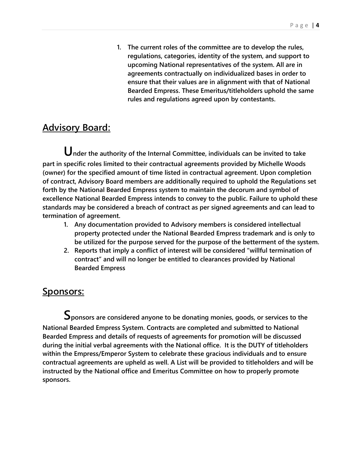**1. The current roles of the committee are to develop the rules, regulations, categories, identity of the system, and support to upcoming National representatives of the system. All are in agreements contractually on individualized bases in order to ensure that their values are in alignment with that of National Bearded Empress. These Emeritus/titleholders uphold the same rules and regulations agreed upon by contestants.**

#### **Advisory Board:**

**Under the authority of the Internal Committee, individuals can be invited to take part in specific roles limited to their contractual agreements provided by Michelle Woods (owner) for the specified amount of time listed in contractual agreement. Upon completion of contract, Advisory Board members are additionally required to uphold the Regulations set forth by the National Bearded Empress system to maintain the decorum and symbol of excellence National Bearded Empress intends to convey to the public. Failure to uphold these standards may be considered a breach of contract as per signed agreements and can lead to termination of agreement.** 

- **1. Any documentation provided to Advisory members is considered intellectual property protected under the National Bearded Empress trademark and is only to be utilized for the purpose served for the purpose of the betterment of the system.**
- **2. Reports that imply a conflict of interest will be considered "willful termination of contract" and will no longer be entitled to clearances provided by National Bearded Empress**

#### **Sponsors:**

**Sponsors are considered anyone to be donating monies, goods, or services to the National Bearded Empress System. Contracts are completed and submitted to National Bearded Empress and details of requests of agreements for promotion will be discussed during the initial verbal agreements with the National office. It is the DUTY of titleholders within the Empress/Emperor System to celebrate these gracious individuals and to ensure contractual agreements are upheld as well. A List will be provided to titleholders and will be instructed by the National office and Emeritus Committee on how to properly promote sponsors.**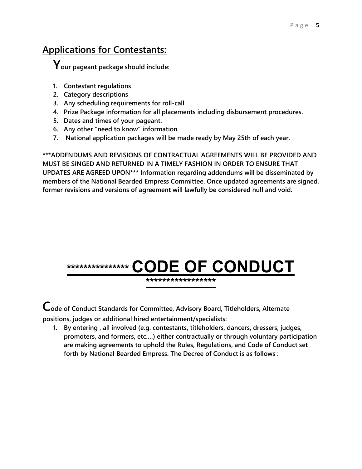# **Applications for Contestants:**

**Your pageant package should include:**

- **1. Contestant regulations**
- **2. Category descriptions**
- **3. Any scheduling requirements for roll-call**
- **4. Prize Package information for all placements including disbursement procedures.**
- **5. Dates and times of your pageant.**
- **6. Any other "need to know" information**
- **7. National application packages will be made ready by May 25th of each year.**

**\*\*\*ADDENDUMS AND REVISIONS OF CONTRACTUAL AGREEMENTS WILL BE PROVIDED AND MUST BE SINGED AND RETURNED IN A TIMELY FASHION IN ORDER TO ENSURE THAT UPDATES ARE AGREED UPON\*\*\* Information regarding addendums will be disseminated by members of the National Bearded Empress Committee. Once updated agreements are signed, former revisions and versions of agreement will lawfully be considered null and void.** 



**\*\*\*\*\*\*\*\*\*\*\*\*\*\*\*\*\***

**Code of Conduct Standards for Committee, Advisory Board, Titleholders, Alternate positions, judges or additional hired entertainment/specialists:**

**1. By entering , all involved (e.g. contestants, titleholders, dancers, dressers, judges, promoters, and formers, etc.…) either contractually or through voluntary participation are making agreements to uphold the Rules, Regulations, and Code of Conduct set forth by National Bearded Empress. The Decree of Conduct is as follows :**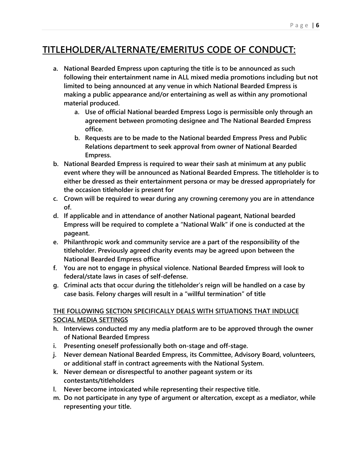# **TITLEHOLDER/ALTERNATE/EMERITUS CODE OF CONDUCT:**

- **a. National Bearded Empress upon capturing the title is to be announced as such following their entertainment name in ALL mixed media promotions including but not limited to being announced at any venue in which National Bearded Empress is making a public appearance and/or entertaining as well as within any promotional material produced.** 
	- **a. Use of official National bearded Empress Logo is permissible only through an agreement between promoting designee and The National Bearded Empress office.**
	- **b. Requests are to be made to the National bearded Empress Press and Public Relations department to seek approval from owner of National Bearded Empress.**
- **b. National Bearded Empress is required to wear their sash at minimum at any public event where they will be announced as National Bearded Empress. The titleholder is to either be dressed as their entertainment persona or may be dressed appropriately for the occasion titleholder is present for**
- **c. Crown will be required to wear during any crowning ceremony you are in attendance of.**
- **d. If applicable and in attendance of another National pageant, National bearded Empress will be required to complete a "National Walk" if one is conducted at the pageant.**
- **e. Philanthropic work and community service are a part of the responsibility of the titleholder. Previously agreed charity events may be agreed upon between the National Bearded Empress office**
- **f. You are not to engage in physical violence. National Bearded Empress will look to federal/state laws in cases of self-defense.**
- **g. Criminal acts that occur during the titleholder's reign will be handled on a case by case basis. Felony charges will result in a "willful termination" of title**

#### **THE FOLLOWING SECTION SPECIFICALLY DEALS WITH SITUATIONS THAT INDLUCE SOCIAL MEDIA SETTINGS**

- **h. Interviews conducted my any media platform are to be approved through the owner of National Bearded Empress**
- **i. Presenting oneself professionally both on-stage and off-stage.**
- **j. Never demean National Bearded Empress, its Committee, Advisory Board, volunteers, or additional staff in contract agreements with the National System.**
- **k. Never demean or disrespectful to another pageant system or its contestants/titleholders**
- **l. Never become intoxicated while representing their respective title.**
- **m. Do not participate in any type of argument or altercation, except as a mediator, while representing your title.**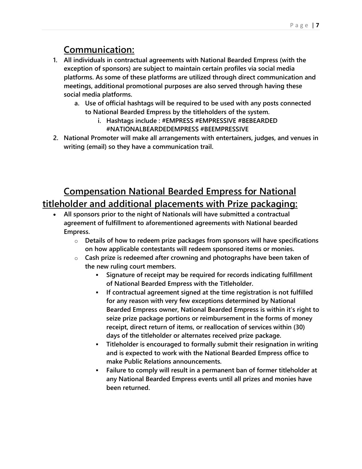# **Communication:**

- **1. All individuals in contractual agreements with National Bearded Empress (with the exception of sponsors) are subject to maintain certain profiles via social media platforms. As some of these platforms are utilized through direct communication and meetings, additional promotional purposes are also served through having these social media platforms.** 
	- **a. Use of official hashtags will be required to be used with any posts connected to National Bearded Empress by the titleholders of the system.** 
		- **i. Hashtags include : #EMPRESS #EMPRESSIVE #BEBEARDED #NATIONALBEARDEDEMPRESS #BEEMPRESSIVE**
- **2. National Promoter will make all arrangements with entertainers, judges, and venues in writing (email) so they have a communication trail.**

# **Compensation National Bearded Empress for National titleholder and additional placements with Prize packaging:**

- **All sponsors prior to the night of Nationals will have submitted a contractual agreement of fulfillment to aforementioned agreements with National bearded Empress.**
	- o **Details of how to redeem prize packages from sponsors will have specifications on how applicable contestants will redeem sponsored items or monies.**
	- o **Cash prize is redeemed after crowning and photographs have been taken of the new ruling court members.**
		- **Signature of receipt may be required for records indicating fulfillment of National Bearded Empress with the Titleholder.**
		- **If contractual agreement signed at the time registration is not fulfilled for any reason with very few exceptions determined by National Bearded Empress owner, National Bearded Empress is within it's right to seize prize package portions or reimbursement in the forms of money receipt, direct return of items, or reallocation of services within (30) days of the titleholder or alternates received prize package.**
		- **Titleholder is encouraged to formally submit their resignation in writing and is expected to work with the National Bearded Empress office to make Public Relations announcements.**
		- **Failure to comply will result in a permanent ban of former titleholder at any National Bearded Empress events until all prizes and monies have been returned.**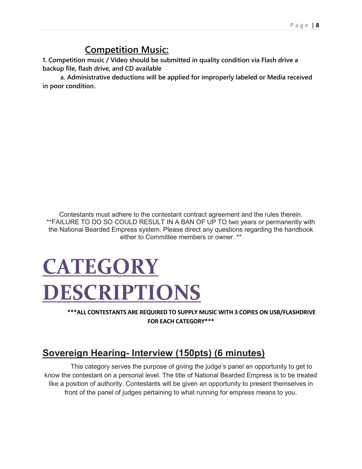# **Competition Music:**

**1. Competition music / Video should be submitted in quality condition via Flash drive a backup file, flash drive, and CD available**

 **a. Administrative deductions will be applied for improperly labeled or Media received in poor condition.**

Contestants must adhere to the contestant contract agreement and the rules therein. \*\*FAILURE TO DO SO COULD RESULT IN A BAN OF UP TO two years or permanently with the National Bearded Empress system. Please direct any questions regarding the handbook either to Committee members or owner. \*\*

# **CATEGORY DESCRIPTIONS**

**\*\*\*ALL CONTESTANTS ARE REQUIRED TO SUPPLY MUSIC WITH 3 COPIES ON USB/FLASHDRIVE FOR EACH CATEGORY\*\*\***

# **Sovereign Hearing- Interview (150pts) (6 minutes)**

This category serves the purpose of giving the judge's panel an opportunity to get to know the contestant on a personal level. The title of National Bearded Empress is to be treated like a position of authority. Contestants will be given an opportunity to present themselves in front of the panel of judges pertaining to what running for empress means to you.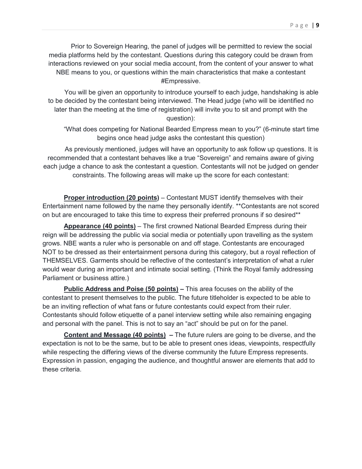Prior to Sovereign Hearing, the panel of judges will be permitted to review the social media platforms held by the contestant. Questions during this category could be drawn from interactions reviewed on your social media account, from the content of your answer to what NBE means to you, or questions within the main characteristics that make a contestant #Empressive.

You will be given an opportunity to introduce yourself to each judge, handshaking is able to be decided by the contestant being interviewed. The Head judge (who will be identified no later than the meeting at the time of registration) will invite you to sit and prompt with the question):

"What does competing for National Bearded Empress mean to you?" (6-minute start time begins once head judge asks the contestant this question)

As previously mentioned, judges will have an opportunity to ask follow up questions. It is recommended that a contestant behaves like a true "Sovereign" and remains aware of giving each judge a chance to ask the contestant a question. Contestants will not be judged on gender constraints. The following areas will make up the score for each contestant:

**Proper introduction (20 points)** – Contestant MUST identify themselves with their Entertainment name followed by the name they personally identify. \*\*Contestants are not scored on but are encouraged to take this time to express their preferred pronouns if so desired\*\*

**Appearance (40 points)** – The first crowned National Bearded Empress during their reign will be addressing the public via social media or potentially upon travelling as the system grows. NBE wants a ruler who is personable on and off stage. Contestants are encouraged NOT to be dressed as their entertainment persona during this category, but a royal reflection of THEMSELVES. Garments should be reflective of the contestant's interpretation of what a ruler would wear during an important and intimate social setting. (Think the Royal family addressing Parliament or business attire.)

**Public Address and Poise (50 points) –** This area focuses on the ability of the contestant to present themselves to the public. The future titleholder is expected to be able to be an inviting reflection of what fans or future contestants could expect from their ruler. Contestants should follow etiquette of a panel interview setting while also remaining engaging and personal with the panel. This is not to say an "act" should be put on for the panel.

**Content and Message (40 points) –** The future rulers are going to be diverse, and the expectation is not to be the same, but to be able to present ones ideas, viewpoints, respectfully while respecting the differing views of the diverse community the future Empress represents. Expression in passion, engaging the audience, and thoughtful answer are elements that add to these criteria.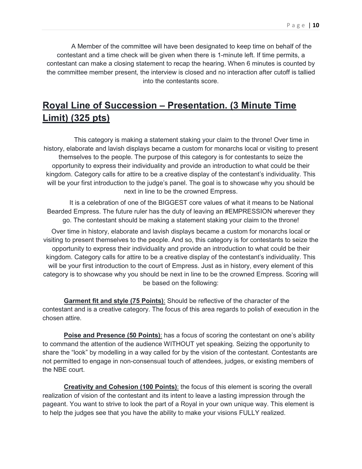A Member of the committee will have been designated to keep time on behalf of the contestant and a time check will be given when there is 1-minute left. If time permits, a contestant can make a closing statement to recap the hearing. When 6 minutes is counted by the committee member present, the interview is closed and no interaction after cutoff is tallied into the contestants score.

# **Royal Line of Succession – Presentation. (3 Minute Time Limit) (325 pts)**

This category is making a statement staking your claim to the throne! Over time in history, elaborate and lavish displays became a custom for monarchs local or visiting to present themselves to the people. The purpose of this category is for contestants to seize the opportunity to express their individuality and provide an introduction to what could be their kingdom. Category calls for attire to be a creative display of the contestant's individuality. This will be your first introduction to the judge's panel. The goal is to showcase why you should be next in line to be the crowned Empress.

It is a celebration of one of the BIGGEST core values of what it means to be National Bearded Empress. The future ruler has the duty of leaving an #EMPRESSION wherever they go. The contestant should be making a statement staking your claim to the throne!

Over time in history, elaborate and lavish displays became a custom for monarchs local or visiting to present themselves to the people. And so, this category is for contestants to seize the opportunity to express their individuality and provide an introduction to what could be their kingdom. Category calls for attire to be a creative display of the contestant's individuality. This will be your first introduction to the court of Empress. Just as in history, every element of this category is to showcase why you should be next in line to be the crowned Empress. Scoring will be based on the following:

**Garment fit and style (75 Points)**: Should be reflective of the character of the contestant and is a creative category. The focus of this area regards to polish of execution in the chosen attire.

**Poise and Presence (50 Points)**: has a focus of scoring the contestant on one's ability to command the attention of the audience WITHOUT yet speaking. Seizing the opportunity to share the "look" by modelling in a way called for by the vision of the contestant. Contestants are not permitted to engage in non-consensual touch of attendees, judges, or existing members of the NBE court.

**Creativity and Cohesion (100 Points)**: the focus of this element is scoring the overall realization of vision of the contestant and its intent to leave a lasting impression through the pageant. You want to strive to look the part of a Royal in your own unique way. This element is to help the judges see that you have the ability to make your visions FULLY realized.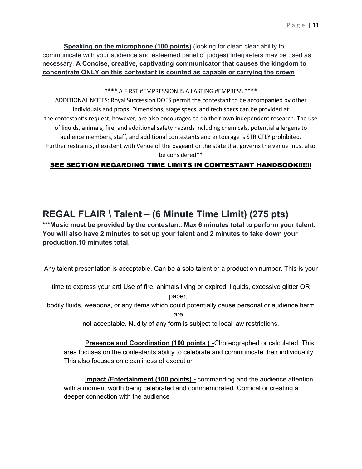**Speaking on the microphone (100 points)** (looking for clean clear ability to communicate with your audience and esteemed panel of judges) Interpreters may be used as necessary. **A Concise, creative, captivating communicator that causes the kingdom to concentrate ONLY on this contestant is counted as capable or carrying the crown**

\*\*\*\* A FIRST #EMPRESSION IS A LASTING #EMPRESS \*\*\*\*

ADDITIONAL NOTES: Royal Succession DOES permit the contestant to be accompanied by other individuals and props. Dimensions, stage specs, and tech specs can be provided at the contestant's request, however, are also encouraged to do their own independent research. The use of liquids, animals, fire, and additional safety hazards including chemicals, potential allergens to audience members, staff, and additional contestants and entourage is STRICTLY prohibited. Further restraints, if existent with Venue of the pageant or the state that governs the venue must also be considered\*\*

#### SEE SECTION REGARDING TIME LIMITS IN CONTESTANT HANDBOOK!!!!!!

### **REGAL FLAIR \ Talent – (6 Minute Time Limit) (275 pts)**

**\*\*\*Music must be provided by the contestant. Max 6 minutes total to perform your talent. You will also have 2 minutes to set up your talent and 2 minutes to take down your production.10 minutes total**.

Any talent presentation is acceptable. Can be a solo talent or a production number. This is your

time to express your art! Use of fire, animals living or expired, liquids, excessive glitter OR

paper,

bodily fluids, weapons, or any items which could potentially cause personal or audience harm

are

not acceptable. Nudity of any form is subject to local law restrictions.

**Presence and Coordination (100 points ) -**Choreographed or calculated, This area focuses on the contestants ability to celebrate and communicate their individuality. This also focuses on cleanliness of execution

**Impact /Entertainment (100 points) -** commanding and the audience attention with a moment worth being celebrated and commemorated. Comical or creating a deeper connection with the audience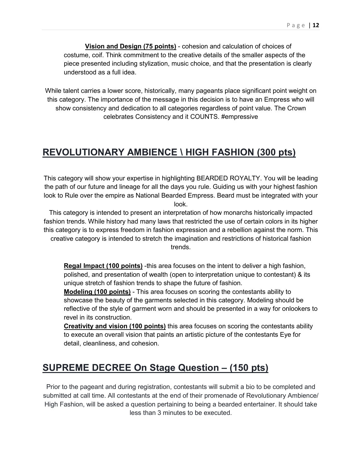**Vision and Design (75 points)** - cohesion and calculation of choices of costume, coif. Think commitment to the creative details of the smaller aspects of the piece presented including stylization, music choice, and that the presentation is clearly understood as a full idea.

While talent carries a lower score, historically, many pageants place significant point weight on this category. The importance of the message in this decision is to have an Empress who will show consistency and dedication to all categories regardless of point value. The Crown celebrates Consistency and it COUNTS. #empressive

#### **REVOLUTIONARY AMBIENCE \ HIGH FASHION (300 pts)**

This category will show your expertise in highlighting BEARDED ROYALTY. You will be leading the path of our future and lineage for all the days you rule. Guiding us with your highest fashion look to Rule over the empire as National Bearded Empress. Beard must be integrated with your look.

This category is intended to present an interpretation of how monarchs historically impacted fashion trends. While history had many laws that restricted the use of certain colors in its higher this category is to express freedom in fashion expression and a rebellion against the norm. This creative category is intended to stretch the imagination and restrictions of historical fashion trends.

**Regal Impact (100 points)** -this area focuses on the intent to deliver a high fashion, polished, and presentation of wealth (open to interpretation unique to contestant) & its unique stretch of fashion trends to shape the future of fashion.

**Modeling (100 points)** - This area focuses on scoring the contestants ability to showcase the beauty of the garments selected in this category. Modeling should be reflective of the style of garment worn and should be presented in a way for onlookers to revel in its construction.

**Creativity and vision (100 points)** this area focuses on scoring the contestants ability to execute an overall vision that paints an artistic picture of the contestants Eye for detail, cleanliness, and cohesion.

#### **SUPREME DECREE On Stage Question – (150 pts)**

Prior to the pageant and during registration, contestants will submit a bio to be completed and submitted at call time. All contestants at the end of their promenade of Revolutionary Ambience/ High Fashion, will be asked a question pertaining to being a bearded entertainer. It should take less than 3 minutes to be executed.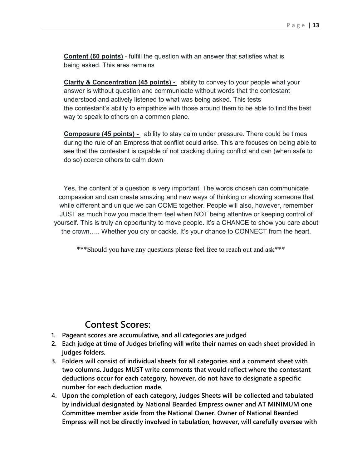**Content (60 points)** - fulfill the question with an answer that satisfies what is being asked. This area remains

**Clarity & Concentration (45 points) -** ability to convey to your people what your answer is without question and communicate without words that the contestant understood and actively listened to what was being asked. This tests the contestant's ability to empathize with those around them to be able to find the best way to speak to others on a common plane.

**Composure (45 points) -** ability to stay calm under pressure. There could be times during the rule of an Empress that conflict could arise. This are focuses on being able to see that the contestant is capable of not cracking during conflict and can (when safe to do so) coerce others to calm down

Yes, the content of a question is very important. The words chosen can communicate compassion and can create amazing and new ways of thinking or showing someone that while different and unique we can COME together. People will also, however, remember JUST as much how you made them feel when NOT being attentive or keeping control of yourself. This is truly an opportunity to move people. It's a CHANCE to show you care about the crown….. Whether you cry or cackle. It's your chance to CONNECT from the heart.

\*\*\*Should you have any questions please feel free to reach out and ask\*\*\*

#### **Contest Scores:**

- **1. Pageant scores are accumulative, and all categories are judged**
- **2. Each judge at time of Judges briefing will write their names on each sheet provided in judges folders.**
- **3. Folders will consist of individual sheets for all categories and a comment sheet with two columns. Judges MUST write comments that would reflect where the contestant deductions occur for each category, however, do not have to designate a specific number for each deduction made.**
- **4. Upon the completion of each category, Judges Sheets will be collected and tabulated by individual designated by National Bearded Empress owner and AT MINIMUM one Committee member aside from the National Owner. Owner of National Bearded Empress will not be directly involved in tabulation, however, will carefully oversee with**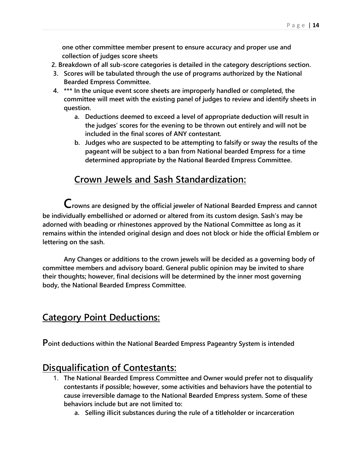**one other committee member present to ensure accuracy and proper use and collection of judges score sheets** 

- **2. Breakdown of all sub-score categories is detailed in the category descriptions section.**
- **3. Scores will be tabulated through the use of programs authorized by the National Bearded Empress Committee.**
- **4. \*\*\* In the unique event score sheets are improperly handled or completed, the committee will meet with the existing panel of judges to review and identify sheets in question.** 
	- **a. Deductions deemed to exceed a level of appropriate deduction will result in the judges' scores for the evening to be thrown out entirely and will not be included in the final scores of ANY contestant.**
	- **b. Judges who are suspected to be attempting to falsify or sway the results of the pageant will be subject to a ban from National bearded Empress for a time determined appropriate by the National Bearded Empress Committee.**

#### **Crown Jewels and Sash Standardization:**

**Crowns are designed by the official jeweler of National Bearded Empress and cannot be individually embellished or adorned or altered from its custom design. Sash's may be adorned with beading or rhinestones approved by the National Committee as long as it remains within the intended original design and does not block or hide the official Emblem or lettering on the sash.** 

**Any Changes or additions to the crown jewels will be decided as a governing body of committee members and advisory board. General public opinion may be invited to share their thoughts; however, final decisions will be determined by the inner most governing body, the National Bearded Empress Committee.** 

#### **Category Point Deductions:**

**Point deductions within the National Bearded Empress Pageantry System is intended**

#### **Disqualification of Contestants:**

- 1. **The National Bearded Empress Committee and Owner would prefer not to disqualify contestants if possible; however, some activities and behaviors have the potential to cause irreversible damage to the National Bearded Empress system. Some of these behaviors include but are not limited to:**
	- **a. Selling illicit substances during the rule of a titleholder or incarceration**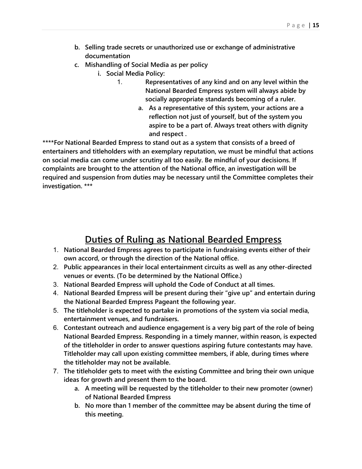- **b. Selling trade secrets or unauthorized use or exchange of administrative documentation**
- **c. Mishandling of Social Media as per policy** 
	- **i. Social Media Policy:**
		- 1. **Representatives of any kind and on any level within the National Bearded Empress system will always abide by socially appropriate standards becoming of a ruler.** 
			- **a. As a representative of this system, your actions are a reflection not just of yourself, but of the system you aspire to be a part of. Always treat others with dignity and respect .**

**\*\*\*\*For National Bearded Empress to stand out as a system that consists of a breed of entertainers and titleholders with an exemplary reputation, we must be mindful that actions on social media can come under scrutiny all too easily. Be mindful of your decisions. If complaints are brought to the attention of the National office, an investigation will be required and suspension from duties may be necessary until the Committee completes their investigation. \*\*\***

#### **Duties of Ruling as National Bearded Empress**

- 1. **National Bearded Empress agrees to participate in fundraising events either of their own accord, or through the direction of the National office.**
- 2. **Public appearances in their local entertainment circuits as well as any other-directed venues or events. (To be determined by the National Office.)**
- 3. **National Bearded Empress will uphold the Code of Conduct at all times.**
- 4. **National Bearded Empress will be present during their "give up" and entertain during the National Bearded Empress Pageant the following year.**
- 5. **The titleholder is expected to partake in promotions of the system via social media, entertainment venues, and fundraisers.**
- 6. **Contestant outreach and audience engagement is a very big part of the role of being National Bearded Empress. Responding in a timely manner, within reason, is expected of the titleholder in order to answer questions aspiring future contestants may have. Titleholder may call upon existing committee members, if able, during times where the titleholder may not be available.**
- 7. **The titleholder gets to meet with the existing Committee and bring their own unique ideas for growth and present them to the board.** 
	- **a. A meeting will be requested by the titleholder to their new promoter (owner) of National Bearded Empress**
	- **b. No more than 1 member of the committee may be absent during the time of this meeting.**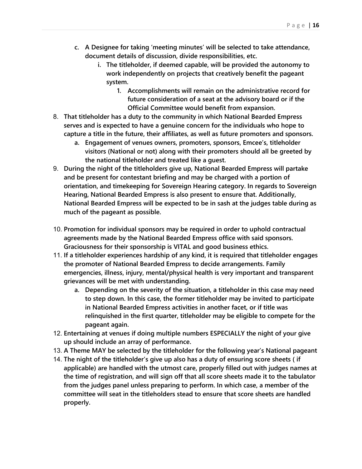- **c. A Designee for taking 'meeting minutes' will be selected to take attendance, document details of discussion, divide responsibilities, etc.** 
	- **i. The titleholder, if deemed capable, will be provided the autonomy to work independently on projects that creatively benefit the pageant system.**
		- **1. Accomplishments will remain on the administrative record for future consideration of a seat at the advisory board or if the Official Committee would benefit from expansion.**
- 8. **That titleholder has a duty to the community in which National Bearded Empress serves and is expected to have a genuine concern for the individuals who hope to capture a title in the future, their affiliates, as well as future promoters and sponsors.** 
	- **a. Engagement of venues owners, promoters, sponsors, Emcee's, titleholder visitors (National or not) along with their promoters should all be greeted by the national titleholder and treated like a guest.**
- 9. **During the night of the titleholders give up, National Bearded Empress will partake and be present for contestant briefing and may be charged with a portion of orientation, and timekeeping for Sovereign Hearing category. In regards to Sovereign Hearing, National Bearded Empress is also present to ensure that. Additionally, National Bearded Empress will be expected to be in sash at the judges table during as much of the pageant as possible.**
- 10. **Promotion for individual sponsors may be required in order to uphold contractual agreements made by the National Bearded Empress office with said sponsors. Graciousness for their sponsorship is VITAL and good business ethics.**
- 11. **If a titleholder experiences hardship of any kind, it is required that titleholder engages the promoter of National Bearded Empress to decide arrangements. Family emergencies, illness, injury, mental/physical health is very important and transparent grievances will be met with understanding.** 
	- **a. Depending on the severity of the situation, a titleholder in this case may need to step down. In this case, the former titleholder may be invited to participate in National Bearded Empress activities in another facet, or if title was relinquished in the first quarter, titleholder may be eligible to compete for the pageant again.**
- 12. **Entertaining at venues if doing multiple numbers ESPECIALLY the night of your give up should include an array of performance.**
- 13. **A Theme MAY be selected by the titleholder for the following year's National pageant**
- 14. **The night of the titleholder's give up also has a duty of ensuring score sheets ( if applicable) are handled with the utmost care, properly filled out with judges names at the time of registration, and will sign off that all score sheets made it to the tabulator from the judges panel unless preparing to perform. In which case, a member of the committee will seat in the titleholders stead to ensure that score sheets are handled properly.**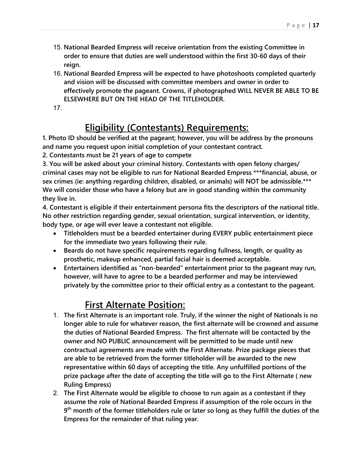- 15. **National Bearded Empress will receive orientation from the existing Committee in order to ensure that duties are well understood within the first 30-60 days of their reign.**
- 16. **National Bearded Empress will be expected to have photoshoots completed quarterly and vision will be discussed with committee members and owner in order to effectively promote the pageant. Crowns, if photographed WILL NEVER BE ABLE TO BE ELSEWHERE BUT ON THE HEAD OF THE TITLEHOLDER.**
- 17.

# **Eligibility (Contestants) Requirements:**

**1. Photo ID should be verified at the pageant; however, you will be address by the pronouns and name you request upon initial completion of your contestant contract.** 

**2. Contestants must be 21 years of age to compete** 

**3. You will be asked about your criminal history. Contestants with open felony charges/ criminal cases may not be eligible to run for National Bearded Empress \*\*\*financial, abuse, or sex crimes (ie: anything regarding children, disabled, or animals) will NOT be admissible.\*\*\* We will consider those who have a felony but are in good standing within the community they live in.** 

**4. Contestant is eligible if their entertainment persona fits the descriptors of the national title. No other restriction regarding gender, sexual orientation, surgical intervention, or identity, body type, or age will ever leave a contestant not eligible.** 

- **EXECTE The Titleholders must be a bearded entertainer during EVERY public entertainment piece for the immediate two years following their rule.**
- **•** Beards do not have specific requirements regarding fullness, length, or quality as **prosthetic, makeup enhanced, partial facial hair is deemed acceptable.**
- **Entertainers identified as "non-bearded" entertainment prior to the pageant may run, however, will have to agree to be a bearded performer and may be interviewed privately by the committee prior to their official entry as a contestant to the pageant.**

# **First Alternate Position:**

- 1. **The first Alternate is an important role. Truly, if the winner the night of Nationals is no longer able to rule for whatever reason, the first alternate will be crowned and assume the duties of National Bearded Empress. The first alternate will be contacted by the owner and NO PUBLIC announcement will be permitted to be made until new contractual agreements are made with the First Alternate. Prize package pieces that are able to be retrieved from the former titleholder will be awarded to the new representative within 60 days of accepting the title. Any unfulfilled portions of the prize package after the date of accepting the title will go to the First Alternate ( new Ruling Empress)**
- 2. **The First Alternate would be eligible to choose to run again as a contestant if they assume the role of National Bearded Empress if assumption of the role occurs in the 9th month of the former titleholders rule or later so long as they fulfill the duties of the Empress for the remainder of that ruling year.**